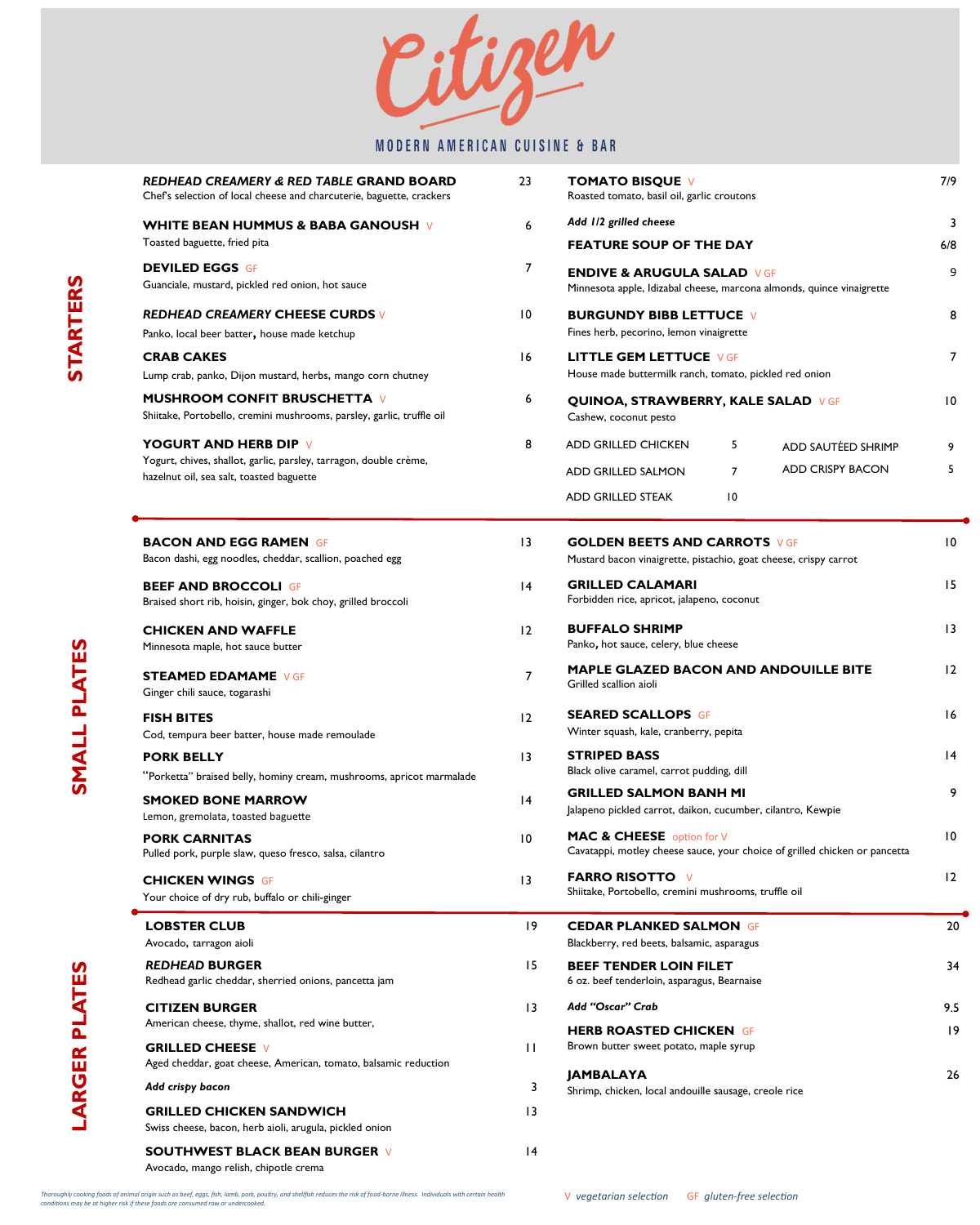itigen

# MODERN AMERICAN CUISINE & BAR

| REDHEAD CREAMERY & RED TABLE GRAND BOARD<br>Chef's selection of local cheese and charcuterie, baguette, crackers                              | 23              | <b>TOMATO BISQUE V</b><br>Roasted tomato, basil oil, garlic croutons                                                                                             | 7/9       |
|-----------------------------------------------------------------------------------------------------------------------------------------------|-----------------|------------------------------------------------------------------------------------------------------------------------------------------------------------------|-----------|
| <b>WHITE BEAN HUMMUS &amp; BABA GANOUSH V</b><br>Toasted baguette, fried pita                                                                 | 6               | Add 1/2 grilled cheese<br><b>FEATURE SOUP OF THE DAY</b>                                                                                                         | 3<br>6/8  |
| <b>DEVILED EGGS GF</b><br>Guanciale, mustard, pickled red onion, hot sauce                                                                    | $\overline{7}$  | <b>ENDIVE &amp; ARUGULA SALAD VGF</b><br>Minnesota apple, Idizabal cheese, marcona almonds, quince vinaigrette                                                   | 9         |
| <b>REDHEAD CREAMERY CHEESE CURDS V</b><br>Panko, local beer batter, house made ketchup                                                        | $\overline{10}$ | <b>BURGUNDY BIBB LETTUCE V</b><br>Fines herb, pecorino, lemon vinaigrette                                                                                        | 8         |
| <b>CRAB CAKES</b><br>Lump crab, panko, Dijon mustard, herbs, mango corn chutney                                                               | 16              | <b>LITTLE GEM LETTUCE VGF</b><br>House made buttermilk ranch, tomato, pickled red onion                                                                          | 7         |
| <b>MUSHROOM CONFIT BRUSCHETTA V</b><br>Shiitake, Portobello, cremini mushrooms, parsley, garlic, truffle oil                                  | 6               | <b>QUINOA, STRAWBERRY, KALE SALAD VGF</b><br>Cashew, coconut pesto                                                                                               | 10        |
| <b>YOGURT AND HERB DIP V</b><br>Yogurt, chives, shallot, garlic, parsley, tarragon, double crème,<br>hazelnut oil, sea salt, toasted baguette | 8               | <b>ADD GRILLED CHICKEN</b><br>5<br>ADD SAUTÉED SHRIMP<br><b>ADD CRISPY BACON</b><br>$\overline{7}$<br>ADD GRILLED SALMON<br>ADD GRILLED STEAK<br>$\overline{10}$ | 9<br>5    |
| <b>BACON AND EGG RAMEN GF</b><br>Bacon dashi, egg noodles, cheddar, scallion, poached egg                                                     | $\overline{13}$ | <b>GOLDEN BEETS AND CARROTS VGF</b><br>Mustard bacon vinaigrette, pistachio, goat cheese, crispy carrot                                                          | 10        |
| <b>BEEF AND BROCCOLI GF</b><br>Braised short rib, hoisin, ginger, bok choy, grilled broccoli                                                  | 4               | <b>GRILLED CALAMARI</b><br>Forbidden rice, apricot, jalapeno, coconut                                                                                            | 15        |
| <b>CHICKEN AND WAFFLE</b><br>Minnesota maple, hot sauce butter                                                                                | 12              | <b>BUFFALO SHRIMP</b><br>Panko, hot sauce, celery, blue cheese                                                                                                   | 13        |
| <b>STEAMED EDAMAME VGF</b><br>Ginger chili sauce, togarashi                                                                                   | $\overline{7}$  | MAPLE GLAZED BACON AND ANDOUILLE BITE<br>Grilled scallion aioli                                                                                                  | 12        |
| <b>FISH BITES</b><br>Cod, tempura beer batter, house made remoulade                                                                           | 12              | <b>SEARED SCALLOPS GF</b><br>Winter squash, kale, cranberry, pepita                                                                                              | 16        |
| <b>PORK BELLY</b><br>"Porketta" braised belly, hominy cream, mushrooms, apricot marmalade                                                     | 3               | <b>STRIPED BASS</b><br>Black olive caramel, carrot pudding, dill                                                                                                 | 4         |
| <b>SMOKED BONE MARROW</b><br>Lemon, gremolata, toasted baguette                                                                               | 4               | <b>GRILLED SALMON BANH MI</b><br>Jalapeno pickled carrot, daikon, cucumber, cilantro, Kewpie                                                                     | 9         |
| <b>PORK CARNITAS</b><br>Pulled pork, purple slaw, queso fresco, salsa, cilantro                                                               | $\overline{10}$ | MAC & CHEESE option for V<br>Cavatappi, motley cheese sauce, your choice of grilled chicken or pancetta                                                          | 10        |
| <b>CHICKEN WINGS GF</b><br>Your choice of dry rub, buffalo or chili-ginger                                                                    | 13              | <b>FARRO RISOTTO V</b><br>Shiitake, Portobello, cremini mushrooms, truffle oil                                                                                   | 12        |
| <b>LOBSTER CLUB</b><br>Avocado, tarragon aioli                                                                                                | 19              | <b>CEDAR PLANKED SALMON GF</b><br>Blackberry, red beets, balsamic, asparagus                                                                                     | 20        |
| <b>REDHEAD BURGER</b><br>Redhead garlic cheddar, sherried onions, pancetta jam                                                                | 15              | <b>BEEF TENDER LOIN FILET</b><br>6 oz. beef tenderloin, asparagus, Bearnaise                                                                                     | 34        |
| <b>CITIZEN BURGER</b><br>American cheese, thyme, shallot, red wine butter,                                                                    | $\overline{13}$ | Add "Oscar" Crab<br><b>HERB ROASTED CHICKEN GF</b>                                                                                                               | 9.5<br> 9 |
| <b>GRILLED CHEESE V</b><br>Aged cheddar, goat cheese, American, tomato, balsamic reduction                                                    | $\mathbf{H}$    | Brown butter sweet potato, maple syrup<br><b>JAMBALAYA</b>                                                                                                       | 26        |
| Add crispy bacon                                                                                                                              | 3               | Shrimp, chicken, local andouille sausage, creole rice                                                                                                            |           |
| <b>GRILLED CHICKEN SANDWICH</b><br>Swiss cheese, bacon, herb aioli, arugula, pickled onion                                                    | $\overline{13}$ |                                                                                                                                                                  |           |
| <b>SOUTHWEST BLACK BEAN BURGER V</b><br>Avocado, mango relish, chipotle crema                                                                 | 4               |                                                                                                                                                                  |           |

SMALL PLATES **SMALL PLATES**

Thoroughly cooking foods of animal origin such as beef, eggs, fish, lamb, pork, poultry, and shellfish reduces the risk of food-borne illness. Individuals with certain health<br>conditions may be at higher risk if these food